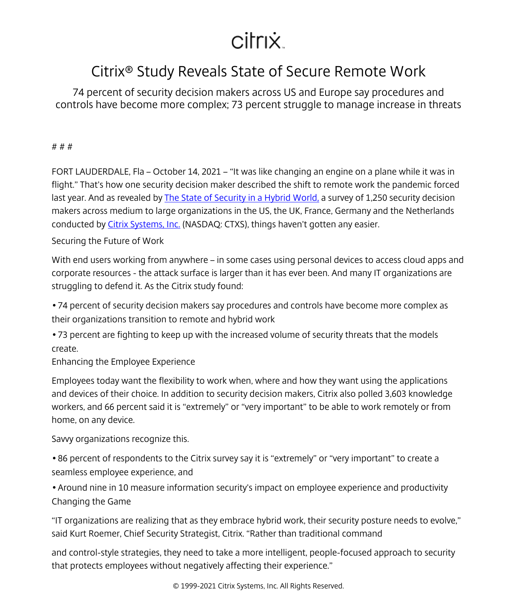## citrix.

## Citrix® Study Reveals State of Secure Remote Work

74 percent of security decision makers across US and Europe say procedures and controls have become more complex; 73 percent struggle to manage increase in threats

# # #

FORT LAUDERDALE, Fla – October 14, 2021 – "It was like changing an engine on a plane while it was in flight." That's how one security decision maker described the shift to remote work the pandemic forced last year. And as revealed by The State of Security in a Hybrid World, a survey of 1,250 security decision makers across medium to large organizations in the US, the UK, France, Germany and the Netherlands conducted by [Citrix Systems, Inc.](/content/citrix/en-sg/
            .html) (NASDAQ: CTXS), things haven't gotten any easier.

Securing the Future of Work

With end users working from anywhere – in some cases using personal devices to access cloud apps and corporate resources - the attack surface is larger than it has ever been. And many IT organizations are struggling to defend it. As the Citrix study found:

• 74 percent of security decision makers say procedures and controls have become more complex as their organizations transition to remote and hybrid work

• 73 percent are fighting to keep up with the increased volume of security threats that the models create.

Enhancing the Employee Experience

Employees today want the flexibility to work when, where and how they want using the applications and devices of their choice. In addition to security decision makers, Citrix also polled 3,603 knowledge workers, and 66 percent said it is "extremely" or "very important" to be able to work remotely or from home, on any device.

Savvy organizations recognize this.

• 86 percent of respondents to the Citrix survey say it is "extremely" or "very important" to create a seamless employee experience, and

• Around nine in 10 measure information security's impact on employee experience and productivity Changing the Game

"IT organizations are realizing that as they embrace hybrid work, their security posture needs to evolve," said Kurt Roemer, Chief Security Strategist, Citrix. "Rather than traditional command

and control-style strategies, they need to take a more intelligent, people-focused approach to security that protects employees without negatively affecting their experience."

© 1999-2021 Citrix Systems, Inc. All Rights Reserved.